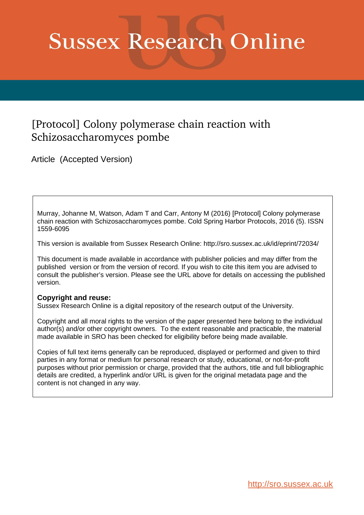# **Sussex Research Online**

## [Protocol] Colony polymerase chain reaction with Schizosaccharomyces pombe

Article (Accepted Version)

Murray, Johanne M, Watson, Adam T and Carr, Antony M (2016) [Protocol] Colony polymerase chain reaction with Schizosaccharomyces pombe. Cold Spring Harbor Protocols, 2016 (5). ISSN 1559-6095

This version is available from Sussex Research Online: http://sro.sussex.ac.uk/id/eprint/72034/

This document is made available in accordance with publisher policies and may differ from the published version or from the version of record. If you wish to cite this item you are advised to consult the publisher's version. Please see the URL above for details on accessing the published version.

#### **Copyright and reuse:**

Sussex Research Online is a digital repository of the research output of the University.

Copyright and all moral rights to the version of the paper presented here belong to the individual author(s) and/or other copyright owners. To the extent reasonable and practicable, the material made available in SRO has been checked for eligibility before being made available.

Copies of full text items generally can be reproduced, displayed or performed and given to third parties in any format or medium for personal research or study, educational, or not-for-profit purposes without prior permission or charge, provided that the authors, title and full bibliographic details are credited, a hyperlink and/or URL is given for the original metadata page and the content is not changed in any way.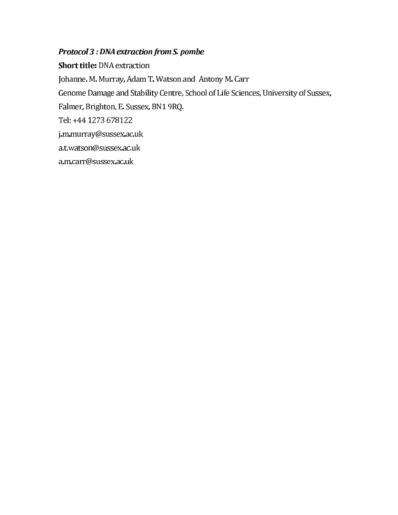## Protocol 3 : DNA extraction from S. pombe

**Short title: DNA extraction** Johanne. M. Murray, Adam T. Watson and Antony M. Carr Genome Damage and Stability Centre, School of Life Sciences, University of Sussex, Falmer, Brighton, E. Sussex, BN1 9RQ. Tel: +44 1273 678122 j.m.murray@sussex.ac.uk a.t.watson@sussex.ac.uk a.m.carr@sussex.ac.uk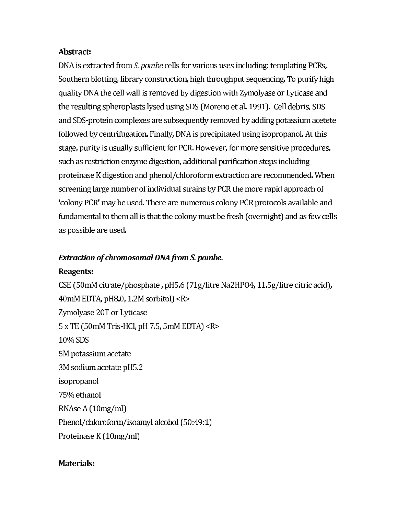#### Abstract:

DNA is extracted from S. pombe cells for various uses including: templating PCRs, Southern blotting, library construction, high throughput sequencing. To purify high quality DNA the cell wall is removed by digestion with Zymolyase or Lyticase and the resulting spheroplasts lysed using SDS (Moreno et al. 1991). Cell debris, SDS and SDS-protein complexes are subsequently removed by adding potassium acetete followed by centrifugation. Finally, DNA is precipitated using isopropanol. At this stage, purity is usually sufficient for PCR. However, for more sensitive procedures, such as restriction enzyme digestion, additional purification steps including proteinase K digestion and phenol/chloroform extraction are recommended. When screening large number of individual strains by PCR the more rapid approach of 'colony PCR' may be used. There are numerous colony PCR protocols available and fundamental to them all is that the colony must be fresh (overnight) and as few cells as possible are used.

#### **Extraction of chromosomal DNA from S. pombe.**

#### Reagents:

CSE (50mM citrate/phosphate, pH5.6 (71g/litre Na2HPO4, 11.5g/litre citric acid), 40mM EDTA, pH8.0, 1.2M sorbitol) < $R>$ Zymolyase 20T or Lyticase  $5 \times TE$  (50mM Tris-HCl, pH 7.5, 5mM EDTA) <R> 10% SDS 5M potassium acetate 3M sodium acetate pH5.2 isopropanol 75% ethanol RNAse A (10mg/ml) Phenol/chloroform/isoamyl alcohol (50:49:1) Proteinase K (10mg/ml)

#### Materials: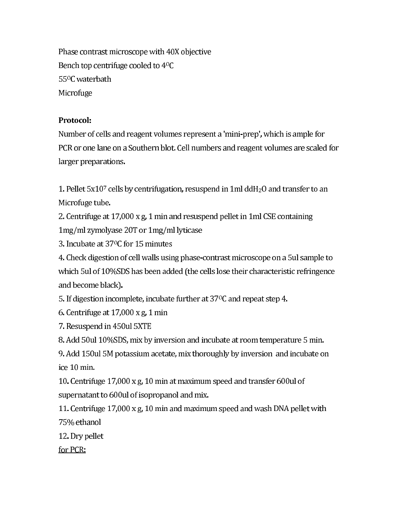Phase contrast microscope with 40X objective Bench top centrifuge cooled to 4°C 55<sup>o</sup>C waterbath Microfuge

## **Protocol:**

Number of cells and reagent volumes represent a 'mini-prep', which is ample for PCR or one lane on a Southern blot. Cell numbers and reagent volumes are scaled for larger preparations.

1. Pellet 5x107 cells by centrifugation, resuspend in 1ml ddH<sub>2</sub>O and transfer to an Microfuge tube.

2. Centrifuge at 17,000 x g, 1 min and resuspend pellet in 1ml CSE containing 1mg/ml zymolyase 20T or 1mg/ml lyticase

3. Incubate at 37°C for 15 minutes

4. Check digestion of cell walls using phase-contrast microscope on a 5ul sample to which 5ul of 10%SDS has been added (the cells lose their characteristic refringence and become black).

5. If digestion incomplete, incubate further at  $37^{\circ}$ C and repeat step 4.

6. Centrifuge at  $17,000 \times g$ , 1 min

7. Resuspend in 450ul 5XTE

8. Add 50ul 10%SDS, mix by inversion and incubate at room temperature 5 min.

9. Add 150 ul 5M potassium acetate, mix thoroughly by inversion and incubate on ice 10 min.

10. Centrifuge 17,000 x g, 10 min at maximum speed and transfer 600ul of supernatant to 600ul of isopropanol and mix.

11. Centrifuge 17,000 x g, 10 min and maximum speed and wash DNA pellet with 75% ethanol

12. Dry pellet

for PCR: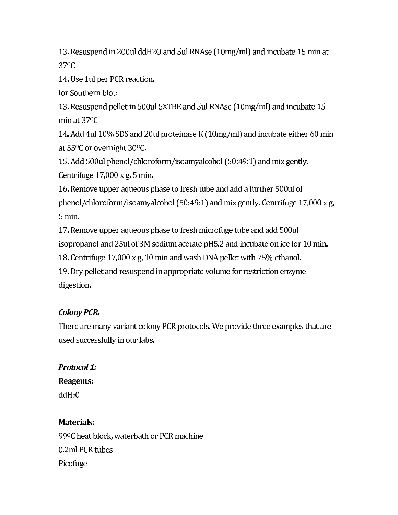13. Resuspend in 200 ulddH2O and 5 ul RNAse (10 mg/ml) and incubate 15 min at 37<sup>o</sup>C

14. Use 1ul per PCR reaction.

for Southern blot:

13. Resuspend pellet in 500ul 5XTBE and 5ul RNAse (10mg/ml) and incubate 15 min at 37°C

14. Add 4ul 10% SDS and 20ul proteinase K (10mg/ml) and incubate either 60 min at 55<sup>o</sup>C or overnight 30<sup>o</sup>C.

15. Add 500ul phenol/chloroform/isoamyalcohol (50:49:1) and mix gently. Centrifuge 17,000 x g, 5 min.

16. Remove upper aqueous phase to fresh tube and add a further 500ul of phenol/chloroform/isoamyalcohol (50:49:1) and mix gently. Centrifuge 17,000 x g, 5 min.

17. Remove upper aqueous phase to fresh microfuge tube and add 500ul isopropanol and 25ul of 3M sodium acetate pH5.2 and incubate on ice for 10 min. 18. Centrifuge 17,000 x g, 10 min and wash DNA pellet with 75% ethanol. 19. Dry pellet and resuspend in appropriate volume for restriction enzyme digestion.

## **Colony PCR.**

There are many variant colony PCR protocols. We provide three examples that are used successfully in our labs.

**Protocol 1:** Reagents:  $ddH<sub>2</sub>0$ 

## **Materials:**

99 °C heat block, waterbath or PCR machine 0.2ml PCR tubes Picofuge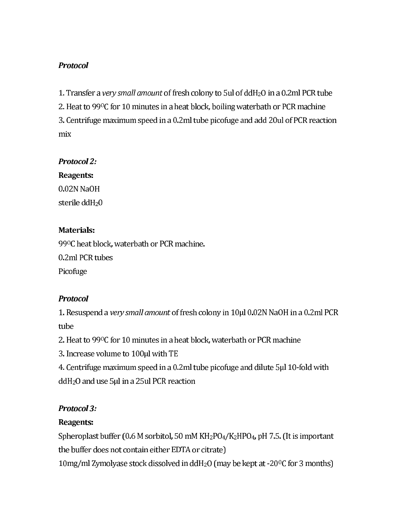## **Protocol**

1. Transfer a very small amount of fresh colony to 5ul of ddH<sub>2</sub>O in a 0.2ml PCR tube 2. Heat to 990C for 10 minutes in a heat block, boiling waterbath or PCR machine 3. Centrifuge maximum speed in a 0.2ml tube picofuge and add 20ul of PCR reaction mix

#### **Protocol 2:**

Reagents:

0.02N NaOH sterile ddH<sub>2</sub>0

## **Materials:**

99ºC heat block, waterbath or PCR machine. 0.2ml PCR tubes Picofuge

## **Protocol**

1. Resuspend a very small amount of fresh colony in 10µl 0.02N NaOH in a 0.2ml PCR tube

2. Heat to 99°C for 10 minutes in a heat block, waterbath or PCR machine

3. Increase volume to 100µl with TE

4. Centrifuge maximum speed in a 0.2ml tube picofuge and dilute 5µl 10-fold with  $ddH<sub>2</sub>O$  and use 5µl in a 25ul PCR reaction

## **Protocol 3:**

## Reagents:

Spheroplast buffer (0.6 M sorbitol, 50 mM KH<sub>2</sub>PO<sub>4</sub>/K<sub>2</sub>HPO<sub>4</sub>, pH 7.5. (It is important the buffer does not contain either EDTA or citrate) 10mg/ml Zymolyase stock dissolved in ddH<sub>2</sub>O (may be kept at -20<sup>o</sup>C for 3 months)